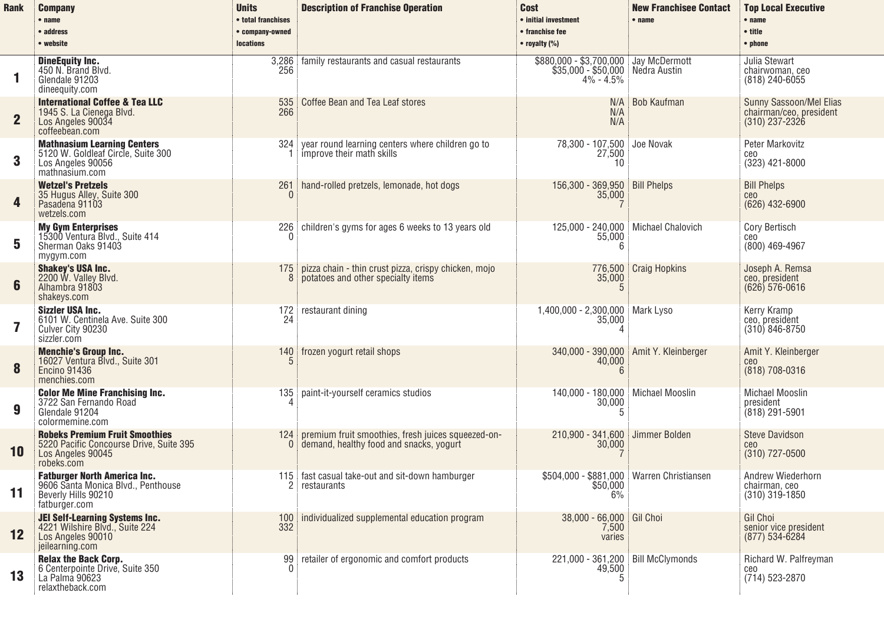| <b>Rank</b>    | <b>Company</b><br>$•$ name<br>• address<br>• website                                                                | <b>Units</b><br>• total franchises<br>· company-owned<br><b>locations</b> | <b>Description of Franchise Operation</b>                                                     | <b>Cost</b><br>• initial investment<br>• franchise fee<br>$\bullet$ royalty (%)            | <b>New Franchisee Contact</b><br>$•$ name | <b>Top Local Executive</b><br>$•$ name<br>• title<br>$\bullet$ phone   |
|----------------|---------------------------------------------------------------------------------------------------------------------|---------------------------------------------------------------------------|-----------------------------------------------------------------------------------------------|--------------------------------------------------------------------------------------------|-------------------------------------------|------------------------------------------------------------------------|
| 1              | <b>DineEquity Inc.</b><br>450 N. Brand Blyd.<br>Glendale 91203<br>dineequity.com                                    | 3.286<br>256                                                              | family restaurants and casual restaurants                                                     | \$880,000 - \$3,700,000 Jay McDermott<br>\$35,000 - \$50,000 Nedra Austin<br>$4\% - 4.5\%$ |                                           | Julia Stewart<br>chairwoman, ceo<br>$(818)$ 240-6055                   |
| $\overline{2}$ | <b>International Coffee &amp; Tea LLC</b><br>1945 S. La Cienega Blvd.<br>Los Angeles 90034<br>coffeebean.com        | 535<br>266                                                                | Coffee Bean and Tea Leaf stores                                                               | N/A<br>N/A<br>N/A                                                                          | Bob Kaufman                               | Sunny Sassoon/Mel Elias<br>chairman/ceo, president<br>$(310)$ 237-2326 |
| 3              | <b>Mathnasium Learning Centers</b><br>5120 W. Goldleaf Circle, Suite 300<br>Los Angeles 90056<br>mathnasium.com     | 324                                                                       | year round learning centers where children go to<br>improve their math skills                 | 78,300 - 107,500<br>27,500<br>10                                                           | Joe Novak                                 | Peter Markovitz<br>ceo<br>$(323)$ 421-8000                             |
| 4              | <b>Wetzel's Pretzels</b><br>35 Hugus Alley, Suite 300<br>Pasadena 91103<br>wetzels.com                              | 261                                                                       | hand-rolled pretzels, lemonade, hot dogs                                                      | 156,300 - 369,950 Bill Phelps<br>35,000                                                    |                                           | <b>Bill Phelps</b><br>ce <sub>0</sub><br>$(626)$ 432-6900              |
| 5              | <b>My Gym Enterprises</b><br>15300 Ventura Blvd., Suite 414<br>Sherman Oaks 91403<br>mygym.com                      | 226                                                                       | children's gyms for ages 6 weeks to 13 years old                                              | 125,000 - 240,000 Michael Chalovich<br>55,000<br>6                                         |                                           | Cory Bertisch<br>ceo<br>(800) 469-4967                                 |
| 6              | <b>Shakey's USA Inc.</b><br>2200 W. Valley Blvd.<br>Alhambra 91803<br>shakeys.com                                   | 175                                                                       | pizza chain - thin crust pizza, crispy chicken, mojo<br>potatoes and other specialty items    | 35,000<br>$\overline{5}$                                                                   | 776,500 Craig Hopkins                     | Joseph A. Remsa<br>ceo, president<br>$(626) 576 - 0616$                |
| 7              | Sizzler USA Inc.<br>6101 W. Centinela Ave. Suite 300<br>Culver City 90230<br>sizzler.com                            | 24                                                                        | 172 restaurant dining                                                                         | 1,400,000 - 2,300,000 Mark Lyso<br>35,000                                                  |                                           | Kerry Kramp<br>ceo, president<br>$(310) 846 - 8750$                    |
| 8              | <b>Menchie's Group Inc.</b><br>16027 Ventura Blvd., Suite 301<br><b>Encino 91436</b><br>menchies.com                | 140                                                                       | frozen yogurt retail shops                                                                    | 40,000<br><sup>6</sup>                                                                     | 340,000 - 390,000   Amit Y. Kleinberger   | Amit Y. Kleinberger<br>ceo<br>(818) 708-0316                           |
| 9              | <b>Color Me Mine Franchising Inc.</b><br>3722 San Fernando Road<br>Glendale 91204<br>colormemine.com                | 135                                                                       | paint-it-yourself ceramics studios                                                            | 140,000 - 180,000 Michael Mooslin<br>30,000<br>5                                           |                                           | Michael Mooslin<br>president<br>(818) 291-5901                         |
| 10             | <b>Robeks Premium Fruit Smoothies</b><br>5220 Pacific Concourse Drive, Suite 395<br>Los Angeles 90045<br>robeks.com | 124<br>0                                                                  | premium fruit smoothies, fresh juices squeezed-on-<br>demand, healthy food and snacks, yogurt | 210,900 - 341,600 Jimmer Bolden<br>30,000                                                  |                                           | Steve Davidson<br>ceo<br>(310) 727-0500                                |
| 11             | <b>Fatburger North America Inc.</b><br>9606 Santa Monica Blvd., Penthouse<br>Beverly Hills 90210<br>fatburger.com   |                                                                           | 115 fast casual take-out and sit-down hamburger<br>restaurants                                | \$504.000 - \$881.000   Warren Christiansen<br>\$50,000<br>6%                              |                                           | Andrew Wiederhorn<br>chairman, ceo<br>$(310)$ 319-1850                 |
| 12             | JEI Self-Learning Systems Inc.<br>4221 Wilshire Blvd., Suite 224<br>Los Angeles 90010<br>jeilearning.com            | 100 <sub>1</sub><br>332                                                   | individualized supplemental education program                                                 | $38,000 - 66,000$<br>7,500<br>varies                                                       | <b>Gil Choi</b>                           | Gil Choi<br>senior vice president<br>(877) 534-6284                    |
| 13             | <b>Relax the Back Corp.</b><br>6 Centerpointe Drive, Suite 350<br>La Palma 90623<br>relaxtheback.com                | 99<br><sup>0</sup>                                                        | retailer of ergonomic and comfort products                                                    | 221,000 - 361,200 Bill McClymonds<br>49,500<br>.5                                          |                                           | Richard W. Palfreyman<br>ceo<br>(714) 523-2870                         |